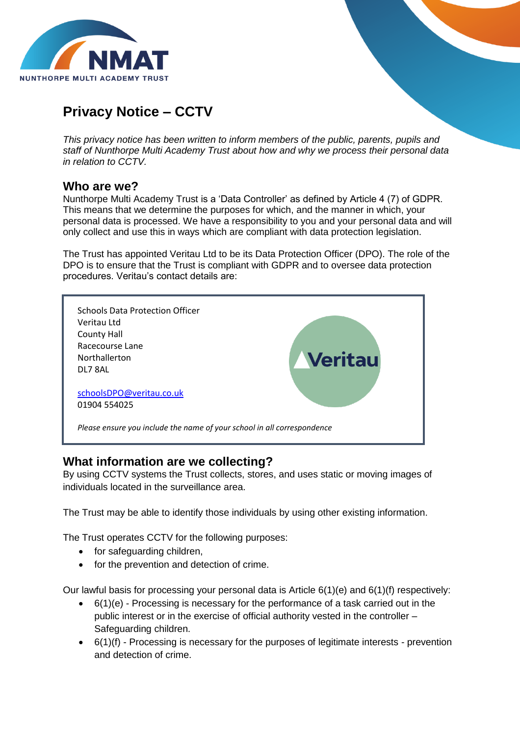

# **Privacy Notice – CCTV**

*This privacy notice has been written to inform members of the public, parents, pupils and staff of Nunthorpe Multi Academy Trust about how and why we process their personal data in relation to CCTV.*

#### **Who are we?**

Nunthorpe Multi Academy Trust is a 'Data Controller' as defined by Article 4 (7) of GDPR. This means that we determine the purposes for which, and the manner in which, your personal data is processed. We have a responsibility to you and your personal data and will only collect and use this in ways which are compliant with data protection legislation.

The Trust has appointed Veritau Ltd to be its Data Protection Officer (DPO). The role of the DPO is to ensure that the Trust is compliant with GDPR and to oversee data protection procedures. Veritau's contact details are:



#### **What information are we collecting?**

By using CCTV systems the Trust collects, stores, and uses static or moving images of individuals located in the surveillance area.

The Trust may be able to identify those individuals by using other existing information.

The Trust operates CCTV for the following purposes:

- for safeguarding children,
- for the prevention and detection of crime.

Our lawful basis for processing your personal data is Article 6(1)(e) and 6(1)(f) respectively:

- 6(1)(e) Processing is necessary for the performance of a task carried out in the public interest or in the exercise of official authority vested in the controller – Safeguarding children.
- $\bullet$  6(1)(f) Processing is necessary for the purposes of legitimate interests prevention and detection of crime.